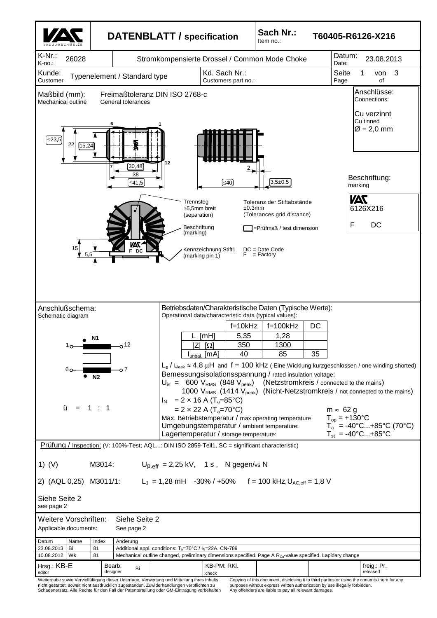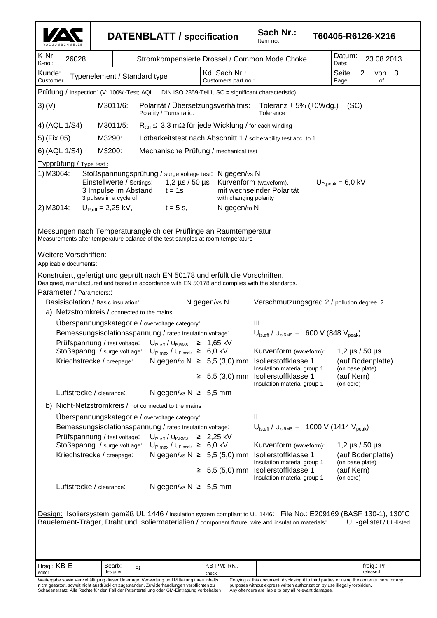V A C U U M S C H M E L Z E **DATENBLATT / specification Sach Nr.:** Item no.: **T60405-R6126-X216** K-Nr.: K-no.: 26028 Stromkompensierte Drossel / Common Mode Choke Datum: Date: 23.08.2013 Kunde:<br>Customer Typenelement / Standard type  $Kd$ . Sach Nr.: Customers part no.: Seite 2 von 3<br>Page of Page Hrsg.: KB-E editor Bearb: designer Bi KB-PM: RKI. freig.: Pr. released Prüfung / Inspection: (V: 100%-Test; AQL...: DIN ISO 2859-Teil1, SC = significant characteristic) 3) (V) M3011/6: Polarität / Übersetzungsverhältnis: Toleranz  $\pm$  5% ( $\pm$ 0Wdg.) (SC)<br>Polarity / Turns ratio: Tolerance Tolerance Polarity / Turns ratio: 4) (AQL 1/S4) M3011/5:  $R_{Cu} \leq 3.3 \text{ m}\Omega$  für jede Wicklung / for each winding 5) (Fix 05) M3290: Lötbarkeitstest nach Abschnitt 1 / solderability test acc. to 1 6) (AQL 1/S4) M3200: Mechanische Prüfung / mechanical test Typprüfung / Type test : 1) M3064: Stoßspannungsprüfung / surge voltage test: N gegen/vs N<br>Einstellwerte / Settings: 1,2 µs / 50 µs Kurvenform (v Einstellwerte / Settings: 1,2 µs / 50 µs Kurvenform (waveform), U<sub>P,peak</sub> = 6,0 kV<br>3 Impulse im Abstand t = 1s mit wechselnder Polarität 3 Impulse im Abstand  $t = 1s$  mit wechselnder Polarität 3 pulses in a cycle of with changing polarity 2) M3014:  $U_{\text{Poff}} = 2.25 \text{ kV}$ ,  $t = 5 \text{ s}$ , N gegen/to N Messungen nach Temperaturangleich der Prüflinge an Raumtemperatur Measurements after temperature balance of the test samples at room temperature Weitere Vorschriften: Applicable documents: Konstruiert, gefertigt und geprüft nach EN 50178 und erfüllt die Vorschriften. Designed, manufactured and tested in accordance with EN 50178 and complies with the standards. Parameter / Parameters:: Basisisolation / Basic insulation: Ngegen/vs N Verschmutzungsgrad 2 / pollution degree 2 a) Netzstromkreis / connected to the mains Überspannungskategorie / overvoltage category: III Bemessungsisolationsspannung / rated insulation voltage:  $U_{\text{is,eff}}$  /  $U_{\text{is,RMS}} = 600 \text{ V}$  (848 V<sub>peak</sub>) Prüfspannung / test voltage:  $U_{P,eff}$  /  $U_{P,RMS} \ge 1,65$  kV<br>Stoßspanng. / surge volt.age:  $U_{P,max}$  /  $U_{P,peak} \ge 6,0$  kV Stoßspanng. / surge volt.age:  $U_{P, max} / U_{P, peak} \ge 6.0 \text{ kV}$  Kurvenform (waveform): 1,2 µs / 50 µs Kriechstrecke / creepage: N gegen/to  $N \geq 5.5$  (3,0) mm Isolierstoffklasse 1 (auf Bodenplatte)<br>Insulation material group 1 (on base plate) Insulation material group 1  $≥ 5,5 (3,0)$  mm Isolierstoffklasse 1 (auf Kern)<br>Insulation material group 1 (on core) Insulation material group 1 Luftstrecke / clearance: N gegen/vs  $N \geq 5.5$  mm b) Nicht-Netzstromkreis / not connected to the mains Überspannungskategorie / overvoltage category: II Bemessungsisolationsspannung / rated insulation voltage:  $U_{\text{is,eff}}$  /  $U_{\text{is,RMS}} = 1000 \text{ V}$  (1414 V<sub>peak</sub>) Prüfspannung / test voltage: U<sub>P,eff</sub> / U<sub>P,RMS</sub> ≥ 2,25 kV Stoßspanng. / surge volt.age:  $U_{P,max}$  /  $U_{P,peak} \ge 6.0$  kV Kurvenform (waveform): 1,2 µs / 50 µs Kriechstrecke / creepage: N gegen/vs  $N \geq 5.5$  (5.0) mm Isolierstoffklasse 1 (auf Bodenplatte)<br>Insulation material group 1 (on base plate) Insulation material group 1 ≥ 5,5 (5,0) mm Isolierstoffklasse 1 (auf Kern) Insulation material group 1 (on core) Luftstrecke / clearance:  $N$  gegen/vs  $N \geq 5.5$  mm Design: Isoliersystem gemäß UL 1446 / insulation system compliant to UL 1446: File No.: E209169 (BASF 130-1), 130°C Bauelement-Träger, Draht und Isoliermaterialien / component fixture, wire and insulation materials: UL-gelistet / UL-listed

check

Weitergabe sowie Vervielfältigung dieser Unterlage, Verwertung und Mitteilung ihres Inhalts nicht gestattet, soweit nicht ausdrücklich zugestanden. Zuwiderhandlungen verpflichten zu Schadenersatz. Alle Rechte für den Fall der Patenterteilung oder GM-Eintragung vorbehalten

Copying of this document, disclosing it to third parties or using the contents there for any purposes without express written authorization by use illegally forbidden. Any offenders are liable to pay all relevant damages.